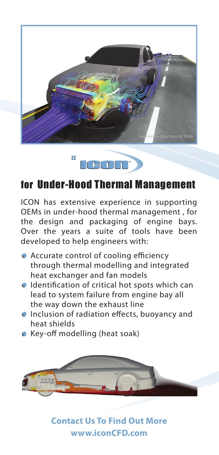



## for Under-Hood Thermal Management

ICON has extensive experience in supporting OEMs in under-hood thermal management , for the design and packaging of engine bays. Over the years a suite of tools have been developed to help engineers with:

- $\bullet$  Accurate control of cooling efficiency through thermal modelling and integrated heat exchanger and fan models
- $\bullet$  Identification of critical hot spots which can lead to system failure from engine bay all the way down the exhaust line
- $\bullet$  Inclusion of radiation effects, buoyancy and heat shields
- $\bullet$  Key-off modelling (heat soak)



**Contact Us To Find Out More www.iconCFD.com**